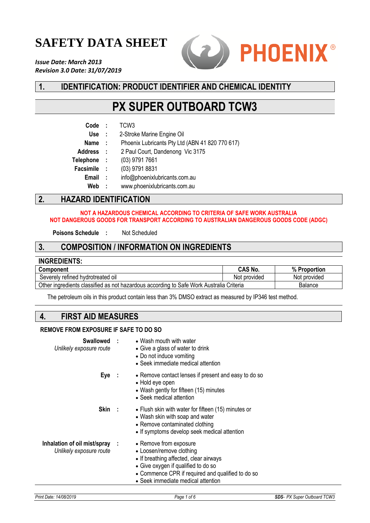# **SAFETY DATA SHEET**

*Issue Date: March 2013 Revision 3.0 Date: 31/07/2019*



# **1. IDENTIFICATION: PRODUCT IDENTIFIER AND CHEMICAL IDENTITY**

# **PX SUPER OUTBOARD TCW3**

| 2. | <b>HAZARD IDENTIFICATION</b> |          |                                                 |
|----|------------------------------|----------|-------------------------------------------------|
|    | Web                          | $\sim$ 1 | www.phoenixlubricants.com.au                    |
|    | Email :                      |          | info@phoenixlubricants.com.au                   |
|    | Facsimile :                  |          | (03) 9791 8831                                  |
|    | Telephone :                  |          | (03) 9791 7661                                  |
|    | Address :                    |          | 2 Paul Court, Dandenong Vic 3175                |
|    | Name :                       |          | Phoenix Lubricants Pty Ltd (ABN 41 820 770 617) |
|    | Use :                        |          | 2-Stroke Marine Engine Oil                      |
|    | Code                         | - 11     | TCW <sub>3</sub>                                |
|    |                              |          |                                                 |

#### **NOT A HAZARDOUS CHEMICAL ACCORDING TO CRITERIA OF SAFE WORK AUSTRALIA NOT DANGEROUS GOODS FOR TRANSPORT ACCORDING TO AUSTRALIAN DANGEROUS GOODS CODE (ADGC)**

**Poisons Schedule :** Not Scheduled

### **3. COMPOSITION / INFORMATION ON INGREDIENTS**

### **INGREDIENTS: CAS No. % Proportion** Severely refined hydrotreated oil Not provided Not provided Not provided Not provided Other ingredients classified as not hazardous according to Safe Work Australia Criteria Balance

The petroleum oils in this product contain less than 3% DMSO extract as measured by IP346 test method.

# **4. FIRST AID MEASURES**

### **REMOVE FROM EXPOSURE IF SAFE TO DO SO**

| Unlikely exposure route                                   | <b>Swallowed : • Wash mouth with water</b><br>• Give a glass of water to drink<br>• Do not induce vomiting<br>• Seek immediate medical attention                                                                               |
|-----------------------------------------------------------|--------------------------------------------------------------------------------------------------------------------------------------------------------------------------------------------------------------------------------|
| Eye:                                                      | • Remove contact lenses if present and easy to do so<br>• Hold eye open<br>• Wash gently for fifteen (15) minutes<br>• Seek medical attention                                                                                  |
| Skin :                                                    | • Flush skin with water for fifteen (15) minutes or<br>• Wash skin with soap and water<br>• Remove contaminated clothing<br>• If symptoms develop seek medical attention                                                       |
| Inhalation of oil mist/spray :<br>Unlikely exposure route | • Remove from exposure<br>• Loosen/remove clothing<br>• If breathing affected, clear airways<br>• Give oxygen if qualified to do so<br>• Commence CPR if required and qualified to do so<br>• Seek immediate medical attention |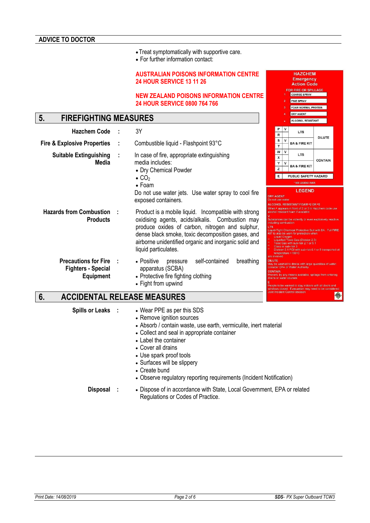- •Treat symptomatically with supportive care.
- For further information contact:

#### **AUSTRALIAN POISONS INFORMATION CENTRE 24 HOUR SERVICE 13 11 26**

#### **NEW ZEALAND POISONS INFORMATION CENTRE 24 HOUR SERVICE 0800 764 766**

# **5. FIREFIGHTING MEASURES**

| <b>Hazchem Code</b>                                                          |     | 3Υ                                                                                                                                                                                                                                                                                               |                                                                            | ۳.<br>$\mathsf{R}$ |              | <b>LTS</b>                                                                                                                                                                                                                                                                                                                                                                                                                        |         |
|------------------------------------------------------------------------------|-----|--------------------------------------------------------------------------------------------------------------------------------------------------------------------------------------------------------------------------------------------------------------------------------------------------|----------------------------------------------------------------------------|--------------------|--------------|-----------------------------------------------------------------------------------------------------------------------------------------------------------------------------------------------------------------------------------------------------------------------------------------------------------------------------------------------------------------------------------------------------------------------------------|---------|
| <b>Fire &amp; Explosive Properties</b>                                       |     | Combustible liquid - Flashpoint 93°C                                                                                                                                                                                                                                                             |                                                                            | s<br>$\mathbf{T}$  | v            | <b>BA &amp; FIRE KIT</b>                                                                                                                                                                                                                                                                                                                                                                                                          | DILUTE  |
| <b>Suitable Extinguishing</b>                                                |     | In case of fire, appropriate extinguishing                                                                                                                                                                                                                                                       |                                                                            | w<br>X             | $\mathsf{v}$ | <b>LTS</b>                                                                                                                                                                                                                                                                                                                                                                                                                        | CONTAIL |
| Media                                                                        |     | media includes:<br>• Dry Chemical Powder                                                                                                                                                                                                                                                         |                                                                            | Υ<br>$\mathsf{z}$  | v            | <b>BA &amp; FIRE KIT</b>                                                                                                                                                                                                                                                                                                                                                                                                          |         |
|                                                                              |     | $\bullet$ CO <sub>2</sub><br>$\bullet$ Foam                                                                                                                                                                                                                                                      | E                                                                          |                    |              | PUBLIC SAFETY HAZARD<br>* SEE LEGEND OVER                                                                                                                                                                                                                                                                                                                                                                                         |         |
|                                                                              |     | Do not use water jets. Use water spray to cool fire<br>exposed containers.                                                                                                                                                                                                                       | <b>DRY AGENT</b><br>Do not use water                                       |                    |              | <b>LEGEND</b><br>ALCOHOL RESISTANT FOAM *2 OR *3                                                                                                                                                                                                                                                                                                                                                                                  |         |
| <b>Hazards from Combustion</b><br><b>Products</b>                            |     | Product is a mobile liquid. Incompatible with strong<br>oxidising agents, acids/alkalis. Combustion may<br>produce oxides of carbon, nitrogen and sulphur,<br>dense black smoke, toxic decomposition gases, and<br>airborne unidentified organic and inorganic solid and<br>liquid particulates. | including combustion<br><b>LTS</b>                                         | Liquid Oxygen      |              | When • appears in front of 2 or 3 in Hazchem cor<br>alcohol resistant foam if available<br>Substances can be violently or even explosively r<br>Liquid-Tight Chemical Protective Suit with BA. Fi<br>KIT to also be worn for protection when<br>Liquefied Toxic Gas (Division 2.3)<br>Toxic Gas with sub-risk 2.1 or 5.1<br>Class or sub-risk 3<br>Division 5.1 PGI with sub-risk 6.1 or 8 transp<br>temperature $>100^{\circ}$ C |         |
| <b>Precautions for Fire</b><br><b>Fighters - Special</b><br><b>Equipment</b> | - 1 | self-contained<br>breathing<br>• Positive<br>pressure<br>apparatus (SCBA)<br>• Protective fire fighting clothing<br>• Fight from upwind                                                                                                                                                          | are involved<br><b>DILUTE</b><br><b>CONTAIN</b><br>drains or water courses |                    |              | May be washed to drains with large quantities of<br>consider EPA or Water Authority<br>Prevent, by any means available, spillage from er<br>People to be warned to stay indoors with all doors                                                                                                                                                                                                                                    |         |

# **6. ACCIDENTAL RELEASE MEASURES**

- **Spills or Leaks :** Wear PPE as per this SDS
	- Remove ignition sources
	- Absorb / contain waste, use earth, vermiculite, inert material
	- Collect and seal in appropriate container
	- Label the container
	- Cover all drains
	- Use spark proof tools
	- Surfaces will be slippery
	- Create bund
	- Observe regulatory reporting requirements (Incident Notification)

**Disposal :** • Dispose of in accordance with State, Local Government, EPA or related Regulations or Codes of Practice.

**HAZCHEM** Emergency **Action Code** FOR FIRE OR SPILLA COARSE SPRAY FINE SPRAY FOAM NORMAL PROTEIN DRY AGENT ALCOHOL RESISTANT

**LTS** 

今

CONTAIN

 $P$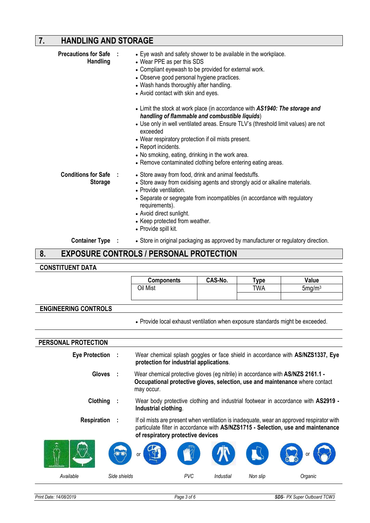# **7. HANDLING AND STORAGE**

|    | <b>Precautions for Safe :</b><br><b>Handling</b> | • Eye wash and safety shower to be available in the workplace.<br>• Wear PPE as per this SDS<br>• Compliant eyewash to be provided for external work.<br>• Observe good personal hygiene practices.<br>• Wash hands thoroughly after handling.<br>• Avoid contact with skin and eyes.<br>• Limit the stock at work place (in accordance with AS1940: The storage and<br>handling of flammable and combustible liquids)<br>• Use only in well ventilated areas. Ensure TLV's (threshold limit values) are not<br>exceeded<br>• Wear respiratory protection if oil mists present.<br>• Report incidents.<br>• No smoking, eating, drinking in the work area.<br>• Remove contaminated clothing before entering eating areas. |
|----|--------------------------------------------------|----------------------------------------------------------------------------------------------------------------------------------------------------------------------------------------------------------------------------------------------------------------------------------------------------------------------------------------------------------------------------------------------------------------------------------------------------------------------------------------------------------------------------------------------------------------------------------------------------------------------------------------------------------------------------------------------------------------------------|
|    | Conditions for Safe :<br><b>Storage</b>          | • Store away from food, drink and animal feedstuffs.<br>• Store away from oxidising agents and strongly acid or alkaline materials.<br>• Provide ventilation.<br>• Separate or segregate from incompatibles (in accordance with regulatory<br>requirements).<br>• Avoid direct sunlight.<br>• Keep protected from weather.<br>• Provide spill kit.                                                                                                                                                                                                                                                                                                                                                                         |
|    | <b>Container Type :</b>                          | • Store in original packaging as approved by manufacturer or regulatory direction.                                                                                                                                                                                                                                                                                                                                                                                                                                                                                                                                                                                                                                         |
| 8. |                                                  | <b>EXPOSURE CONTROLS / PERSONAL PROTECTION</b>                                                                                                                                                                                                                                                                                                                                                                                                                                                                                                                                                                                                                                                                             |

### **8. EXPOSURE CONTROLS / PERSONAL PROTECTION**

### **CONSTITUENT DATA**

|                             | <b>Components</b>                                                                                                                                                             | CAS-No. | Type       | Value                                                                                     |  |  |
|-----------------------------|-------------------------------------------------------------------------------------------------------------------------------------------------------------------------------|---------|------------|-------------------------------------------------------------------------------------------|--|--|
|                             | Oil Mist                                                                                                                                                                      |         | <b>TWA</b> | 5mg/m <sup>3</sup>                                                                        |  |  |
|                             |                                                                                                                                                                               |         |            |                                                                                           |  |  |
| <b>ENGINEERING CONTROLS</b> |                                                                                                                                                                               |         |            |                                                                                           |  |  |
|                             | . Provide local exhaust ventilation when exposure standards might be exceeded.                                                                                                |         |            |                                                                                           |  |  |
|                             |                                                                                                                                                                               |         |            |                                                                                           |  |  |
| PERSONAL PROTECTION         |                                                                                                                                                                               |         |            |                                                                                           |  |  |
| Eye Protection :            | Wear chemical splash goggles or face shield in accordance with AS/NZS1337, Eye<br>protection for industrial applications.                                                     |         |            |                                                                                           |  |  |
| <b>Gloves</b>               | Wear chemical protective gloves (eg nitrile) in accordance with AS/NZS 2161.1 -<br>Occupational protective gloves, selection, use and maintenance where contact<br>may occur. |         |            |                                                                                           |  |  |
| Clothing                    | Wear body protective clothing and industrial footwear in accordance with AS2919 -<br>Industrial clothing.                                                                     |         |            |                                                                                           |  |  |
| Respiration                 | particulate filter in accordance with AS/NZS1715 - Selection, use and maintenance<br>of respiratory protective devices                                                        |         |            | If oil mists are present when ventilation is inadequate, wear an approved respirator with |  |  |
|                             |                                                                                                                                                                               |         |            |                                                                                           |  |  |

| Æ.<br>١A  | <b>NOTO</b><br><b>SPA</b><br>or | $\mathbb{R}^{\mathbb{Z}}$ | ТV        |          | or<br>$\omega$ |
|-----------|---------------------------------|---------------------------|-----------|----------|----------------|
| Available | Side shields                    | PVC                       | Industial | Non slip | Organic        |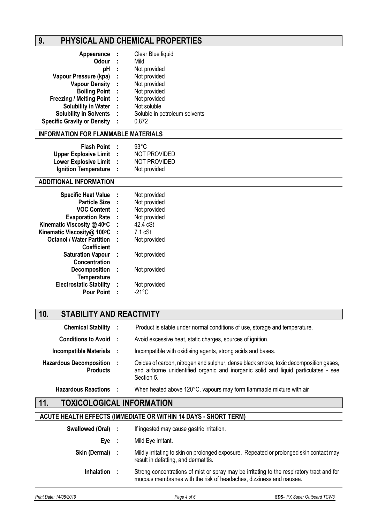# **9. PHYSICAL AND CHEMICAL PROPERTIES**

| Appearance :                       |           | Clear Blue liquid             |
|------------------------------------|-----------|-------------------------------|
| <b>Odour</b>                       | - 1       | Mild                          |
| рH                                 | -1        | Not provided                  |
| Vapour Pressure (kpa)              | - 1       | Not provided                  |
| <b>Vapour Density</b>              | $\sim$ 1. | Not provided                  |
| <b>Boiling Point:</b>              |           | Not provided                  |
| <b>Freezing / Melting Point</b>    | - 11      | Not provided                  |
| <b>Solubility in Water</b>         | - 1       | Not soluble                   |
| <b>Solubility in Solvents</b>      | - 1       | Soluble in petroleum solvents |
| <b>Specific Gravity or Density</b> | ÷         | 0.872                         |

### **INFORMATION FOR FLAMMABLE MATERIALS**

| <b>Flash Point</b>           | 93°C                |
|------------------------------|---------------------|
|                              |                     |
| <b>Upper Explosive Limit</b> | <b>NOT PROVIDED</b> |
| <b>Lower Explosive Limit</b> | <b>NOT PROVIDED</b> |
| <b>Ignition Temperature</b>  | Not provided        |

### **ADDITIONAL INFORMATION**

| ÷ | Not provided      |
|---|-------------------|
| ÷ | Not provided      |
| ÷ | Not provided      |
| ÷ | Not provided      |
| ÷ | 42.4 cSt          |
| t | $7.1 \text{ cSt}$ |
| t | Not provided      |
|   |                   |
| ÷ | Not provided      |
|   |                   |
| ÷ | Not provided      |
|   |                   |
| ÷ | Not provided      |
| ÷ | -21°C             |
|   |                   |

# **10. STABILITY AND REACTIVITY**

| <b>Chemical Stability :</b>                       | Product is stable under normal conditions of use, storage and temperature.                                                                                                                 |
|---------------------------------------------------|--------------------------------------------------------------------------------------------------------------------------------------------------------------------------------------------|
| Conditions to Avoid :                             | Avoid excessive heat, static charges, sources of ignition.                                                                                                                                 |
| <b>Incompatible Materials</b>                     | Incompatible with oxidising agents, strong acids and bases.                                                                                                                                |
| <b>Hazardous Decomposition</b><br><b>Products</b> | Oxides of carbon, nitrogen and sulphur, dense black smoke, toxic decomposition gases,<br>and airborne unidentified organic and inorganic solid and liquid particulates - see<br>Section 5. |
| <b>Hazardous Reactions</b>                        | When heated above 120°C, vapours may form flammable mixture with air                                                                                                                       |

# **11. TOXICOLOGICAL INFORMATION**

### **ACUTE HEALTH EFFECTS (IMMEDIATE OR WITHIN 14 DAYS - SHORT TERM)**

| Swallowed (Oral) : |     | If ingested may cause gastric irritation.                                                                                                                       |
|--------------------|-----|-----------------------------------------------------------------------------------------------------------------------------------------------------------------|
| Eve                | - 1 | Mild Eye irritant.                                                                                                                                              |
| Skin (Dermal) :    |     | Mildly irritating to skin on prolonged exposure. Repeated or prolonged skin contact may<br>result in defatting, and dermatitis.                                 |
| <b>Inhalation</b>  |     | Strong concentrations of mist or spray may be irritating to the respiratory tract and for<br>mucous membranes with the risk of headaches, dizziness and nausea. |
|                    |     |                                                                                                                                                                 |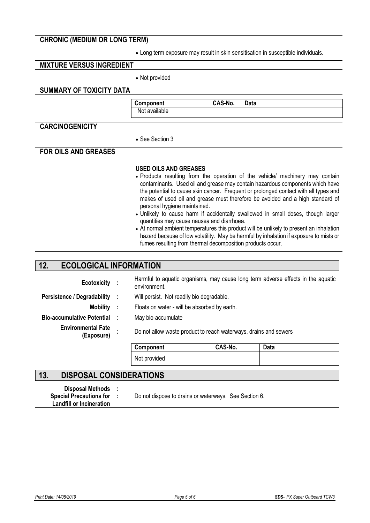### **CHRONIC (MEDIUM OR LONG TERM)**

• Long term exposure may result in skin sensitisation in susceptible individuals.

### **MIXTURE VERSUS INGREDIENT**

• Not provided

### **SUMMARY OF TOXICITY DATA**

**Component CAS-No. Data**  Not available

### **CARCINOGENICITY**

• See Section 3

### **FOR OILS AND GREASES**

#### **USED OILS AND GREASES**

- Products resulting from the operation of the vehicle/ machinery may contain contaminants. Used oil and grease may contain hazardous components which have the potential to cause skin cancer. Frequent or prolonged contact with all types and makes of used oil and grease must therefore be avoided and a high standard of personal hygiene maintained.
- Unlikely to cause harm if accidentally swallowed in small doses, though larger quantities may cause nausea and diarrhoea.
- At normal ambient temperatures this product will be unlikely to present an inhalation hazard because of low volatility. May be harmful by inhalation if exposure to mists or fumes resulting from thermal decomposition products occur.

### **12. ECOLOGICAL INFORMATION**

| Ecotoxicity :                           | environment.                                                     |                                           | Harmful to aquatic organisms, may cause long term adverse effects in the aquatic |  |  |
|-----------------------------------------|------------------------------------------------------------------|-------------------------------------------|----------------------------------------------------------------------------------|--|--|
| Persistence / Degradability :           |                                                                  | Will persist. Not readily bio degradable. |                                                                                  |  |  |
| Mobility :                              | Floats on water - will be absorbed by earth.                     |                                           |                                                                                  |  |  |
| Bio-accumulative Potential:             | May bio-accumulate                                               |                                           |                                                                                  |  |  |
| <b>Environmental Fate</b><br>(Exposure) | Do not allow waste product to reach waterways, drains and sewers |                                           |                                                                                  |  |  |
|                                         | Component                                                        | CAS-No.                                   | Data                                                                             |  |  |
|                                         | Not provided                                                     |                                           |                                                                                  |  |  |

### **13. DISPOSAL CONSIDERATIONS**

| <b>Disposal Methods</b>         |  |
|---------------------------------|--|
| <b>Special Precautions for</b>  |  |
| <b>Landfill or Incineration</b> |  |

Do not dispose to drains or waterways. See Section 6.